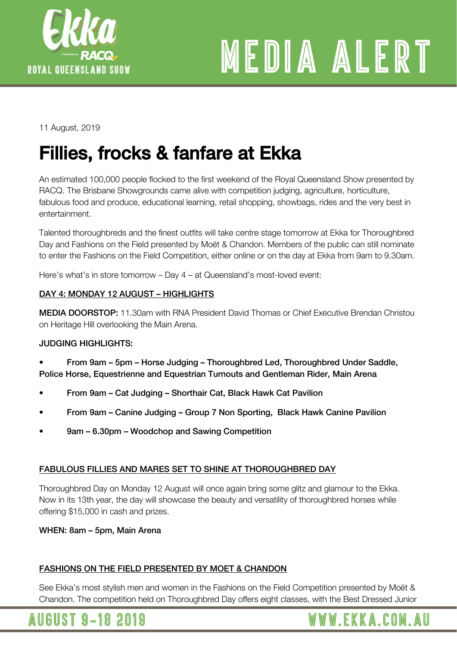

# MEDIA ALERT

11 August, 2019

# Fillies, frocks & fanfare at Ekka

An estimated 100,000 people flocked to the first weekend of the Royal Queensland Show presented by RACQ. The Brisbane Showgrounds came alive with competition judging, agriculture, horticulture, fabulous food and produce, educational learning, retail shopping, showbags, rides and the very best in entertainment.

Talented thoroughbreds and the finest outfits will take centre stage tomorrow at Ekka for Thoroughbred Day and Fashions on the Field presented by Moët & Chandon. Members of the public can still nominate to enter the Fashions on the Field Competition, either online or on the day at Ekka from 9am to 9.30am.

Here's what's in store tomorrow – Day 4 – at Queensland's most-loved event:

## DAY 4: MONDAY 12 AUGUST – HIGHLIGHTS

MEDIA DOORSTOP: 11.30am with RNA President David Thomas or Chief Executive Brendan Christou on Heritage Hill overlooking the Main Arena.

### JUDGING HIGHLIGHTS:

- From 9am 5pm Horse Judging Thoroughbred Led, Thoroughbred Under Saddle, Police Horse, Equestrienne and Equestrian Turnouts and Gentleman Rider, Main Arena
- From 9am Cat Judging Shorthair Cat, Black Hawk Cat Pavilion
- From 9am Canine Judging Group 7 Non Sporting, Black Hawk Canine Pavilion
- 9am 6.30pm Woodchop and Sawing Competition

### FABULOUS FILLIES AND MARES SET TO SHINE AT THOROUGHBRED DAY

Thoroughbred Day on Monday 12 August will once again bring some glitz and glamour to the Ekka. Now in its 13th year, the day will showcase the beauty and versatility of thoroughbred horses while offering \$15,000 in cash and prizes.

WHEN: 8am – 5pm, Main Arena

# FASHIONS ON THE FIELD PRESENTED BY MOET & CHANDON

See Ekka's most stylish men and women in the Fashions on the Field Competition presented by Moët & Chandon. The competition held on Thoroughbred Day offers eight classes, with the Best Dressed Junior



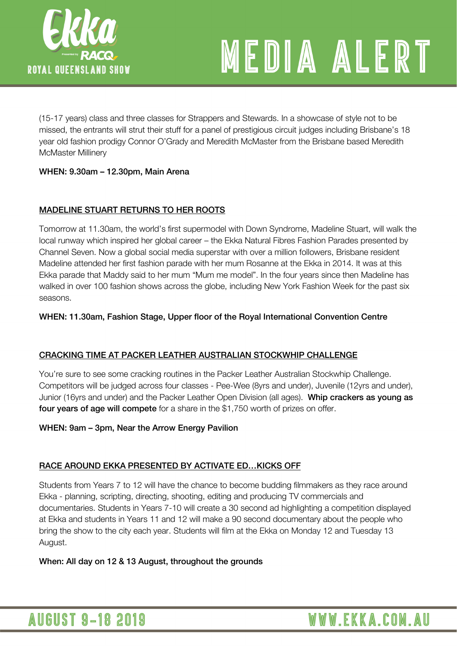

# MEDIA ALERT

WWW.EKKA.COM.AU

(15-17 years) class and three classes for Strappers and Stewards. In a showcase of style not to be missed, the entrants will strut their stuff for a panel of prestigious circuit judges including Brisbane's 18 year old fashion prodigy Connor O'Grady and Meredith McMaster from the Brisbane based Meredith McMaster Millinery

## WHEN: 9.30am – 12.30pm, Main Arena

## MADELINE STUART RETURNS TO HER ROOTS

Tomorrow at 11.30am, the world's first supermodel with Down Syndrome, Madeline Stuart, will walk the local runway which inspired her global career – the Ekka Natural Fibres Fashion Parades presented by Channel Seven. Now a global social media superstar with over a million followers, Brisbane resident Madeline attended her first fashion parade with her mum Rosanne at the Ekka in 2014. It was at this Ekka parade that Maddy said to her mum "Mum me model". In the four years since then Madeline has walked in over 100 fashion shows across the globe, including New York Fashion Week for the past six seasons.

## WHEN: 11.30am, Fashion Stage, Upper floor of the Royal International Convention Centre

# CRACKING TIME AT PACKER LEATHER AUSTRALIAN STOCKWHIP CHALLENGE

You're sure to see some cracking routines in the Packer Leather Australian Stockwhip Challenge. Competitors will be judged across four classes - Pee-Wee (8yrs and under), Juvenile (12yrs and under), Junior (16yrs and under) and the Packer Leather Open Division (all ages). Whip crackers as young as four years of age will compete for a share in the \$1,750 worth of prizes on offer.

### WHEN: 9am – 3pm, Near the Arrow Energy Pavilion

# RACE AROUND EKKA PRESENTED BY ACTIVATE ED…KICKS OFF

Students from Years 7 to 12 will have the chance to become budding filmmakers as they race around Ekka - planning, scripting, directing, shooting, editing and producing TV commercials and documentaries. Students in Years 7-10 will create a 30 second ad highlighting a competition displayed at Ekka and students in Years 11 and 12 will make a 90 second documentary about the people who bring the show to the city each year. Students will film at the Ekka on Monday 12 and Tuesday 13 August.

When: All day on 12 & 13 August, throughout the grounds

# **AUGUST 9-18 2019**